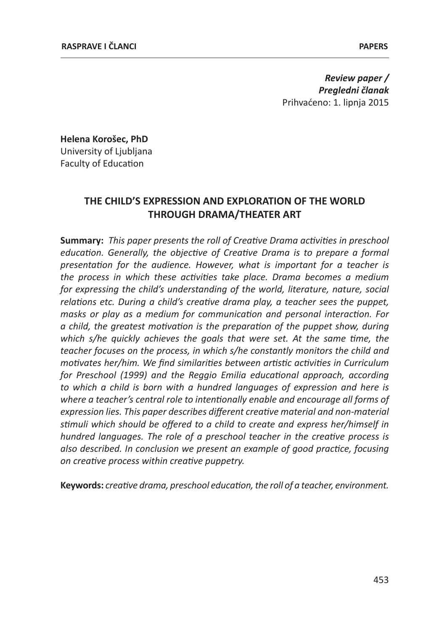*Review paper / Pregledni članak* Prihvaćeno: 1. lipnja 2015

**Helena Korošec, PhD** University of Ljubljana Faculty of Education

# **THE CHILD'S EXPRESSION AND EXPLORATION OF THE WORLD THROUGH DRAMA/THEATER ART**

**Summary:** *This paper presents the roll of Creative Drama activities in preschool education. Generally, the objective of Creative Drama is to prepare a formal presentation for the audience. However, what is important for a teacher is the process in which these activities take place. Drama becomes a medium for expressing the child's understanding of the world, literature, nature, social relations etc. During a child's creative drama play, a teacher sees the puppet, masks or play as a medium for communication and personal interaction. For a child, the greatest motivation is the preparation of the puppet show, during which s/he quickly achieves the goals that were set. At the same time, the teacher focuses on the process, in which s/he constantly monitors the child and motivates her/him. We find similarities between artistic activities in Curriculum for Preschool (1999) and the Reggio Emilia educational approach, according to which a child is born with a hundred languages of expression and here is where a teacher's central role to intentionally enable and encourage all forms of expression lies. This paper describes different creative material and non-material stimuli which should be offered to a child to create and express her/himself in hundred languages. The role of a preschool teacher in the creative process is also described. In conclusion we present an example of good practice, focusing on creative process within creative puppetry.*

**Keywords:** *creative drama, preschool education, the roll of a teacher, environment.*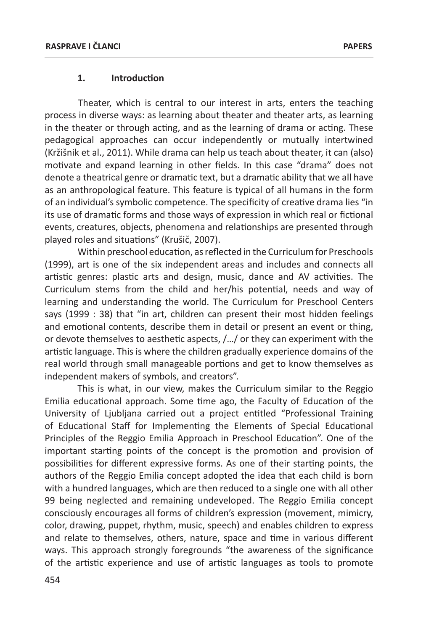#### **1. Introduction**

Theater, which is central to our interest in arts, enters the teaching process in diverse ways: as learning about theater and theater arts, as learning in the theater or through acting, and as the learning of drama or acting. These pedagogical approaches can occur independently or mutually intertwined (Kržišnik et al., 2011). While drama can help us teach about theater, it can (also) motivate and expand learning in other fields. In this case "drama" does not denote a theatrical genre or dramatic text, but a dramatic ability that we all have as an anthropological feature. This feature is typical of all humans in the form of an individual's symbolic competence. The specificity of creative drama lies "in its use of dramatic forms and those ways of expression in which real or fictional events, creatures, objects, phenomena and relationships are presented through played roles and situations" (Krušič, 2007).

Within preschool education, as reflected in the Curriculum for Preschools (1999), art is one of the six independent areas and includes and connects all artistic genres: plastic arts and design, music, dance and AV activities. The Curriculum stems from the child and her/his potential, needs and way of learning and understanding the world. The Curriculum for Preschool Centers says (1999 : 38) that "in art, children can present their most hidden feelings and emotional contents, describe them in detail or present an event or thing, or devote themselves to aesthetic aspects, /…/ or they can experiment with the artistic language. This is where the children gradually experience domains of the real world through small manageable portions and get to know themselves as independent makers of symbols, and creators".

This is what, in our view, makes the Curriculum similar to the Reggio Emilia educational approach. Some time ago, the Faculty of Education of the University of Ljubljana carried out a project entitled "Professional Training of Educational Staff for Implementing the Elements of Special Educational Principles of the Reggio Emilia Approach in Preschool Education". One of the important starting points of the concept is the promotion and provision of possibilities for different expressive forms. As one of their starting points, the authors of the Reggio Emilia concept adopted the idea that each child is born with a hundred languages, which are then reduced to a single one with all other 99 being neglected and remaining undeveloped. The Reggio Emilia concept consciously encourages all forms of children's expression (movement, mimicry, color, drawing, puppet, rhythm, music, speech) and enables children to express and relate to themselves, others, nature, space and time in various different ways. This approach strongly foregrounds "the awareness of the significance of the artistic experience and use of artistic languages as tools to promote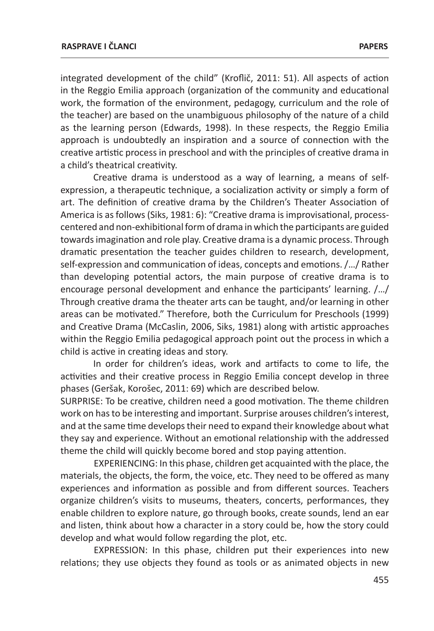integrated development of the child" (Kroflič, 2011: 51). All aspects of action in the Reggio Emilia approach (organization of the community and educational work, the formation of the environment, pedagogy, curriculum and the role of the teacher) are based on the unambiguous philosophy of the nature of a child as the learning person (Edwards, 1998). In these respects, the Reggio Emilia approach is undoubtedly an inspiration and a source of connection with the creative artistic process in preschool and with the principles of creative drama in a child's theatrical creativity.

Creative drama is understood as a way of learning, a means of selfexpression, a therapeutic technique, a socialization activity or simply a form of art. The definition of creative drama by the Children's Theater Association of America is as follows (Siks, 1981: 6): "Creative drama is improvisational, processcentered and non-exhibitional form of drama in which the participants are guided towards imagination and role play. Creative drama is a dynamic process. Through dramatic presentation the teacher guides children to research, development, self-expression and communication of ideas, concepts and emotions. /…/ Rather than developing potential actors, the main purpose of creative drama is to encourage personal development and enhance the participants' learning. /…/ Through creative drama the theater arts can be taught, and/or learning in other areas can be motivated." Therefore, both the Curriculum for Preschools (1999) and Creative Drama (McCaslin, 2006, Siks, 1981) along with artistic approaches within the Reggio Emilia pedagogical approach point out the process in which a child is active in creating ideas and story.

In order for children's ideas, work and artifacts to come to life, the activities and their creative process in Reggio Emilia concept develop in three phases (Geršak, Korošec, 2011: 69) which are described below.

SURPRISE: To be creative, children need a good motivation. The theme children work on has to be interesting and important. Surprise arouses children's interest, and at the same time develops their need to expand their knowledge about what they say and experience. Without an emotional relationship with the addressed theme the child will quickly become bored and stop paying attention.

EXPERIENCING: In this phase, children get acquainted with the place, the materials, the objects, the form, the voice, etc. They need to be offered as many experiences and information as possible and from different sources. Teachers organize children's visits to museums, theaters, concerts, performances, they enable children to explore nature, go through books, create sounds, lend an ear and listen, think about how a character in a story could be, how the story could develop and what would follow regarding the plot, etc.

EXPRESSION: In this phase, children put their experiences into new relations; they use objects they found as tools or as animated objects in new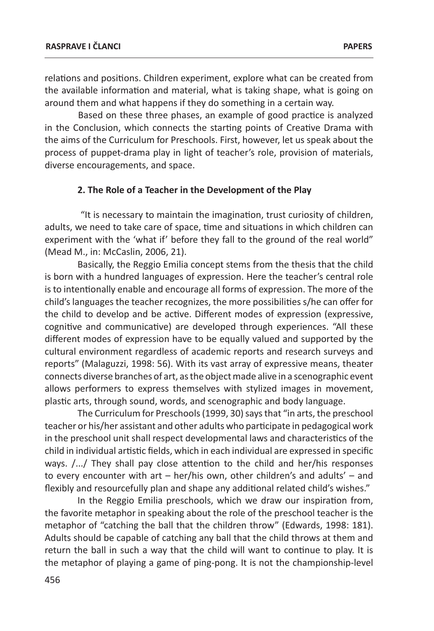relations and positions. Children experiment, explore what can be created from the available information and material, what is taking shape, what is going on around them and what happens if they do something in a certain way.

Based on these three phases, an example of good practice is analyzed in the Conclusion, which connects the starting points of Creative Drama with the aims of the Curriculum for Preschools. First, however, let us speak about the process of puppet-drama play in light of teacher's role, provision of materials, diverse encouragements, and space.

#### **2. The Role of a Teacher in the Development of the Play**

 "It is necessary to maintain the imagination, trust curiosity of children, adults, we need to take care of space, time and situations in which children can experiment with the 'what if' before they fall to the ground of the real world" (Mead M., in: McCaslin, 2006, 21).

Basically, the Reggio Emilia concept stems from the thesis that the child is born with a hundred languages of expression. Here the teacher's central role is to intentionally enable and encourage all forms of expression. The more of the child's languages the teacher recognizes, the more possibilities s/he can offer for the child to develop and be active. Different modes of expression (expressive, cognitive and communicative) are developed through experiences. "All these different modes of expression have to be equally valued and supported by the cultural environment regardless of academic reports and research surveys and reports" (Malaguzzi, 1998: 56). With its vast array of expressive means, theater connects diverse branches of art, as the object made alive in a scenographic event allows performers to express themselves with stylized images in movement, plastic arts, through sound, words, and scenographic and body language.

The Curriculum for Preschools (1999, 30) says that "in arts, the preschool teacher or his/her assistant and other adults who participate in pedagogical work in the preschool unit shall respect developmental laws and characteristics of the child in individual artistic fields, which in each individual are expressed in specific ways. /.../ They shall pay close attention to the child and her/his responses to every encounter with art – her/his own, other children's and adults' – and flexibly and resourcefully plan and shape any additional related child's wishes."

In the Reggio Emilia preschools, which we draw our inspiration from, the favorite metaphor in speaking about the role of the preschool teacher is the metaphor of "catching the ball that the children throw" (Edwards, 1998: 181). Adults should be capable of catching any ball that the child throws at them and return the ball in such a way that the child will want to continue to play. It is the metaphor of playing a game of ping-pong. It is not the championship-level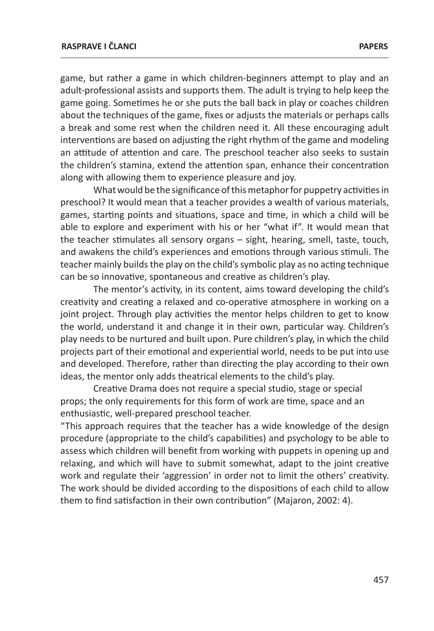game, but rather a game in which children-beginners attempt to play and an adult-professional assists and supports them. The adult is trying to help keep the game going. Sometimes he or she puts the ball back in play or coaches children about the techniques of the game, fixes or adjusts the materials or perhaps calls a break and some rest when the children need it. All these encouraging adult interventions are based on adjusting the right rhythm of the game and modeling an attitude of attention and care. The preschool teacher also seeks to sustain the children's stamina, extend the attention span, enhance their concentration along with allowing them to experience pleasure and joy.

What would be the significance of this metaphor for puppetry activities in preschool? It would mean that a teacher provides a wealth of various materials, games, starting points and situations, space and time, in which a child will be able to explore and experiment with his or her "what if". It would mean that the teacher stimulates all sensory organs – sight, hearing, smell, taste, touch, and awakens the child's experiences and emotions through various stimuli. The teacher mainly builds the play on the child's symbolic play as no acting technique can be so innovative, spontaneous and creative as children's play.

The mentor's activity, in its content, aims toward developing the child's creativity and creating a relaxed and co-operative atmosphere in working on a joint project. Through play activities the mentor helps children to get to know the world, understand it and change it in their own, particular way. Children's play needs to be nurtured and built upon. Pure children's play, in which the child projects part of their emotional and experiential world, needs to be put into use and developed. Therefore, rather than directing the play according to their own ideas, the mentor only adds theatrical elements to the child's play.

Creative Drama does not require a special studio, stage or special props; the only requirements for this form of work are time, space and an enthusiastic, well-prepared preschool teacher.

"This approach requires that the teacher has a wide knowledge of the design procedure (appropriate to the child's capabilities) and psychology to be able to assess which children will benefit from working with puppets in opening up and relaxing, and which will have to submit somewhat, adapt to the joint creative work and regulate their 'aggression' in order not to limit the others' creativity. The work should be divided according to the dispositions of each child to allow them to find satisfaction in their own contribution" (Majaron, 2002: 4).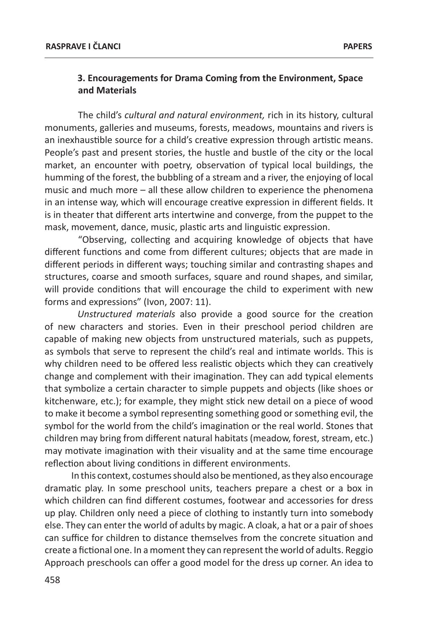### **3. Encouragements for Drama Coming from the Environment, Space and Materials**

The child's *cultural and natural environment,* rich in its history, cultural monuments, galleries and museums, forests, meadows, mountains and rivers is an inexhaustible source for a child's creative expression through artistic means. People's past and present stories, the hustle and bustle of the city or the local market, an encounter with poetry, observation of typical local buildings, the humming of the forest, the bubbling of a stream and a river, the enjoying of local music and much more – all these allow children to experience the phenomena in an intense way, which will encourage creative expression in different fields. It is in theater that different arts intertwine and converge, from the puppet to the mask, movement, dance, music, plastic arts and linguistic expression.

"Observing, collecting and acquiring knowledge of objects that have different functions and come from different cultures; objects that are made in different periods in different ways; touching similar and contrasting shapes and structures, coarse and smooth surfaces, square and round shapes, and similar, will provide conditions that will encourage the child to experiment with new forms and expressions" (Ivon, 2007: 11).

*Unstructured materials* also provide a good source for the creation of new characters and stories. Even in their preschool period children are capable of making new objects from unstructured materials, such as puppets, as symbols that serve to represent the child's real and intimate worlds. This is why children need to be offered less realistic objects which they can creatively change and complement with their imagination. They can add typical elements that symbolize a certain character to simple puppets and objects (like shoes or kitchenware, etc.); for example, they might stick new detail on a piece of wood to make it become a symbol representing something good or something evil, the symbol for the world from the child's imagination or the real world. Stones that children may bring from different natural habitats (meadow, forest, stream, etc.) may motivate imagination with their visuality and at the same time encourage reflection about living conditions in different environments.

 In this context, costumes should also be mentioned, as they also encourage dramatic play. In some preschool units, teachers prepare a chest or a box in which children can find different costumes, footwear and accessories for dress up play. Children only need a piece of clothing to instantly turn into somebody else. They can enter the world of adults by magic. A cloak, a hat or a pair of shoes can suffice for children to distance themselves from the concrete situation and create a fictional one. In a moment they can represent the world of adults. Reggio Approach preschools can offer a good model for the dress up corner. An idea to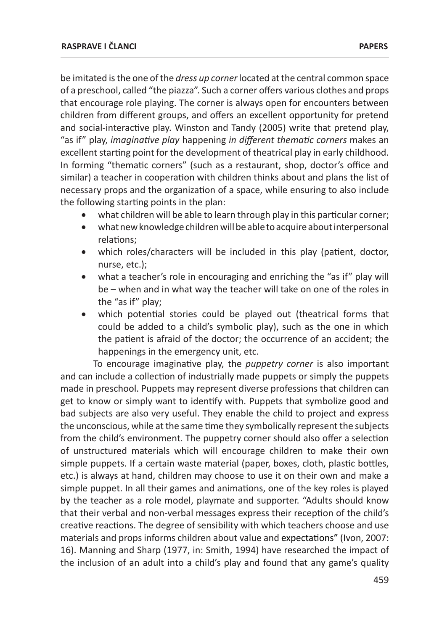be imitated is the one of the *dress up corner* located at the central common space of a preschool, called "the piazza". Such a corner offers various clothes and props that encourage role playing. The corner is always open for encounters between children from different groups, and offers an excellent opportunity for pretend and social-interactive play. Winston and Tandy (2005) write that pretend play, "as if" play, *imaginative play* happening *in different thematic corners* makes an excellent starting point for the development of theatrical play in early childhood. In forming "thematic corners" (such as a restaurant, shop, doctor's office and similar) a teacher in cooperation with children thinks about and plans the list of necessary props and the organization of a space, while ensuring to also include the following starting points in the plan:

- what children will be able to learn through play in this particular corner;
- • what new knowledge children will be able to acquire about interpersonal relations;
- which roles/characters will be included in this play (patient, doctor, nurse, etc.);
- what a teacher's role in encouraging and enriching the "as if" play will be – when and in what way the teacher will take on one of the roles in the "as if" play;
- which potential stories could be played out (theatrical forms that could be added to a child's symbolic play), such as the one in which the patient is afraid of the doctor; the occurrence of an accident; the happenings in the emergency unit, etc.

To encourage imaginative play, the *puppetry corner* is also important and can include a collection of industrially made puppets or simply the puppets made in preschool. Puppets may represent diverse professions that children can get to know or simply want to identify with. Puppets that symbolize good and bad subjects are also very useful. They enable the child to project and express the unconscious, while at the same time they symbolically represent the subjects from the child's environment. The puppetry corner should also offer a selection of unstructured materials which will encourage children to make their own simple puppets. If a certain waste material (paper, boxes, cloth, plastic bottles, etc.) is always at hand, children may choose to use it on their own and make a simple puppet. In all their games and animations, one of the key roles is played by the teacher as a role model, playmate and supporter. "Adults should know that their verbal and non-verbal messages express their reception of the child's creative reactions. The degree of sensibility with which teachers choose and use materials and props informs children about value and expectations" (Ivon, 2007: 16). Manning and Sharp (1977, in: Smith, 1994) have researched the impact of the inclusion of an adult into a child's play and found that any game's quality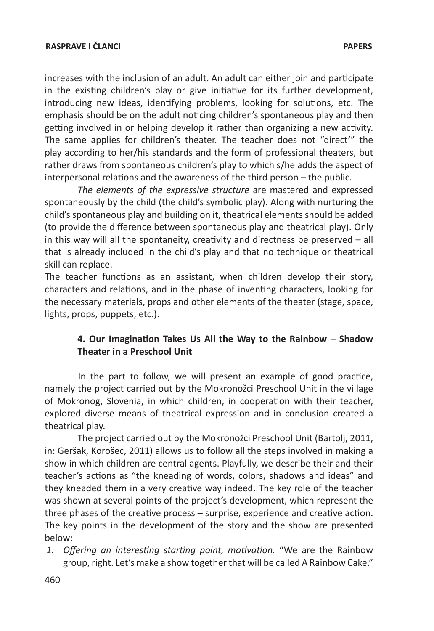increases with the inclusion of an adult. An adult can either join and participate in the existing children's play or give initiative for its further development, introducing new ideas, identifying problems, looking for solutions, etc. The emphasis should be on the adult noticing children's spontaneous play and then getting involved in or helping develop it rather than organizing a new activity. The same applies for children's theater. The teacher does not "direct'" the play according to her/his standards and the form of professional theaters, but rather draws from spontaneous children's play to which s/he adds the aspect of interpersonal relations and the awareness of the third person – the public.

*The elements of the expressive structure* are mastered and expressed spontaneously by the child (the child's symbolic play). Along with nurturing the child's spontaneous play and building on it, theatrical elements should be added (to provide the difference between spontaneous play and theatrical play). Only in this way will all the spontaneity, creativity and directness be preserved – all that is already included in the child's play and that no technique or theatrical skill can replace.

The teacher functions as an assistant, when children develop their story, characters and relations, and in the phase of inventing characters, looking for the necessary materials, props and other elements of the theater (stage, space, lights, props, puppets, etc.).

### **4. Our Imagination Takes Us All the Way to the Rainbow – Shadow Theater in a Preschool Unit**

In the part to follow, we will present an example of good practice, namely the project carried out by the Mokronožci Preschool Unit in the village of Mokronog, Slovenia, in which children, in cooperation with their teacher, explored diverse means of theatrical expression and in conclusion created a theatrical play.

The project carried out by the Mokronožci Preschool Unit (Bartolj, 2011, in: Geršak, Korošec, 2011) allows us to follow all the steps involved in making a show in which children are central agents. Playfully, we describe their and their teacher's actions as "the kneading of words, colors, shadows and ideas" and they kneaded them in a very creative way indeed. The key role of the teacher was shown at several points of the project's development, which represent the three phases of the creative process – surprise, experience and creative action. The key points in the development of the story and the show are presented below:

*1. Offering an interesting starting point, motivation.* "We are the Rainbow group, right. Let's make a show together that will be called A Rainbow Cake."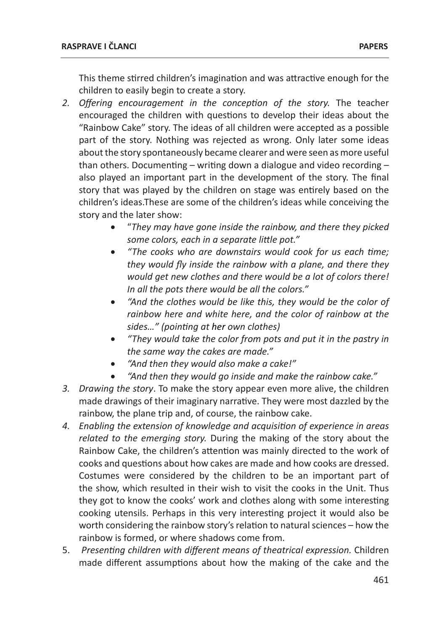This theme stirred children's imagination and was attractive enough for the children to easily begin to create a story.

- *2. Offering encouragement in the conception of the story.* The teacher encouraged the children with questions to develop their ideas about the "Rainbow Cake" story. The ideas of all children were accepted as a possible part of the story. Nothing was rejected as wrong. Only later some ideas about the story spontaneously became clearer and were seen as more useful than others. Documenting – writing down a dialogue and video recording – also played an important part in the development of the story. The final story that was played by the children on stage was entirely based on the children's ideas.These are some of the children's ideas while conceiving the story and the later show:
	- • "*They may have gone inside the rainbow, and there they picked some colors, each in a separate little pot."*
	- • *"The cooks who are downstairs would cook for us each time; they would fly inside the rainbow with a plane, and there they would get new clothes and there would be a lot of colors there! In all the pots there would be all the colors."*
	- • *"And the clothes would be like this, they would be the color of rainbow here and white here, and the color of rainbow at the sides…" (pointing at her own clothes)*
	- • *"They would take the color from pots and put it in the pastry in the same way the cakes are made."*
	- • *"And then they would also make a cake!"*
	- • *"And then they would go inside and make the rainbow cake."*
- *3. Drawing the story*. To make the story appear even more alive, the children made drawings of their imaginary narrative. They were most dazzled by the rainbow, the plane trip and, of course, the rainbow cake.
- *4. Enabling the extension of knowledge and acquisition of experience in areas related to the emerging story.* During the making of the story about the Rainbow Cake, the children's attention was mainly directed to the work of cooks and questions about how cakes are made and how cooks are dressed. Costumes were considered by the children to be an important part of the show, which resulted in their wish to visit the cooks in the Unit. Thus they got to know the cooks' work and clothes along with some interesting cooking utensils. Perhaps in this very interesting project it would also be worth considering the rainbow story's relation to natural sciences – how the rainbow is formed, or where shadows come from.
- 5. *Presenting children with different means of theatrical expression.* Children made different assumptions about how the making of the cake and the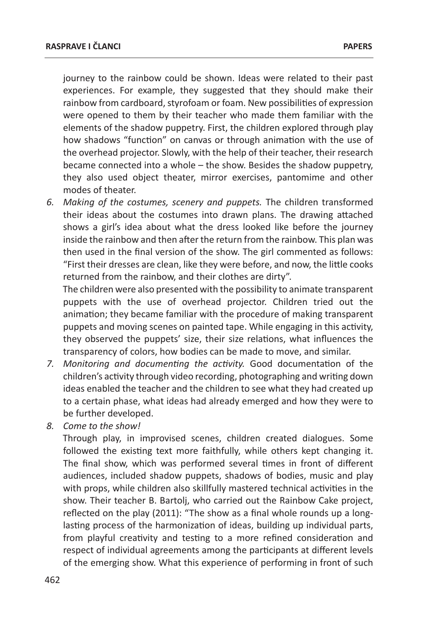journey to the rainbow could be shown. Ideas were related to their past experiences. For example, they suggested that they should make their rainbow from cardboard, styrofoam or foam. New possibilities of expression were opened to them by their teacher who made them familiar with the elements of the shadow puppetry. First, the children explored through play how shadows "function" on canvas or through animation with the use of the overhead projector. Slowly, with the help of their teacher, their research became connected into a whole – the show. Besides the shadow puppetry, they also used object theater, mirror exercises, pantomime and other modes of theater.

*6. Making of the costumes, scenery and puppets.* The children transformed their ideas about the costumes into drawn plans. The drawing attached shows a girl's idea about what the dress looked like before the journey inside the rainbow and then after the return from the rainbow. This plan was then used in the final version of the show. The girl commented as follows: "First their dresses are clean, like they were before, and now, the little cooks returned from the rainbow, and their clothes are dirty".

The children were also presented with the possibility to animate transparent puppets with the use of overhead projector. Children tried out the animation; they became familiar with the procedure of making transparent puppets and moving scenes on painted tape. While engaging in this activity, they observed the puppets' size, their size relations, what influences the transparency of colors, how bodies can be made to move, and similar.

- *7. Monitoring and documenting the activity.* Good documentation of the children's activity through video recording, photographing and writing down ideas enabled the teacher and the children to see what they had created up to a certain phase, what ideas had already emerged and how they were to be further developed.
- *8. Come to the show!*

Through play, in improvised scenes, children created dialogues. Some followed the existing text more faithfully, while others kept changing it. The final show, which was performed several times in front of different audiences, included shadow puppets, shadows of bodies, music and play with props, while children also skillfully mastered technical activities in the show. Their teacher B. Bartolj, who carried out the Rainbow Cake project, reflected on the play (2011): "The show as a final whole rounds up a longlasting process of the harmonization of ideas, building up individual parts, from playful creativity and testing to a more refined consideration and respect of individual agreements among the participants at different levels of the emerging show. What this experience of performing in front of such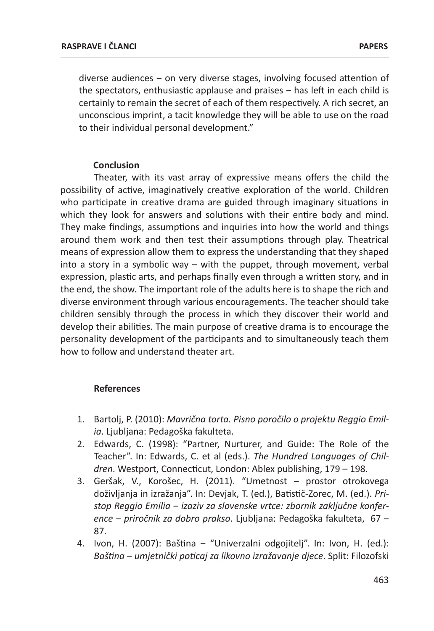diverse audiences – on very diverse stages, involving focused attention of the spectators, enthusiastic applause and praises – has left in each child is certainly to remain the secret of each of them respectively. A rich secret, an unconscious imprint, a tacit knowledge they will be able to use on the road to their individual personal development."

#### **Conclusion**

Theater, with its vast array of expressive means offers the child the possibility of active, imaginatively creative exploration of the world. Children who participate in creative drama are guided through imaginary situations in which they look for answers and solutions with their entire body and mind. They make findings, assumptions and inquiries into how the world and things around them work and then test their assumptions through play. Theatrical means of expression allow them to express the understanding that they shaped into a story in a symbolic way – with the puppet, through movement, verbal expression, plastic arts, and perhaps finally even through a written story, and in the end, the show. The important role of the adults here is to shape the rich and diverse environment through various encouragements. The teacher should take children sensibly through the process in which they discover their world and develop their abilities. The main purpose of creative drama is to encourage the personality development of the participants and to simultaneously teach them how to follow and understand theater art.

#### **References**

- 1. Bartolj, P. (2010): *Mavrična torta. Pisno poročilo o projektu Reggio Emilia*. Ljubljana: Pedagoška fakulteta.
- 2. Edwards, C. (1998): "Partner, Nurturer, and Guide: The Role of the Teacher". In: Edwards, C. et al (eds.). *The Hundred Languages of Children*. Westport, Connecticut, London: Ablex publishing, 179 – 198.
- 3. Geršak, V., Korošec, H. (2011). "Umetnost ‒ prostor otrokovega doživljanja in izražanja". In: Devjak, T. (ed.), Batistič-Zorec, M. (ed.). *Pristop Reggio Emilia ‒ izaziv za slovenske vrtce: zbornik zaključne konference ‒ priročnik za dobro prakso*. Ljubljana: Pedagoška fakulteta, 67 ‒ 87.
- 4. Ivon, H. (2007): Baština "Univerzalni odgojitelj". In: Ivon, H. (ed.): *Baština – umjetnički poticaj za likovno izražavanje djece*. Split: Filozofski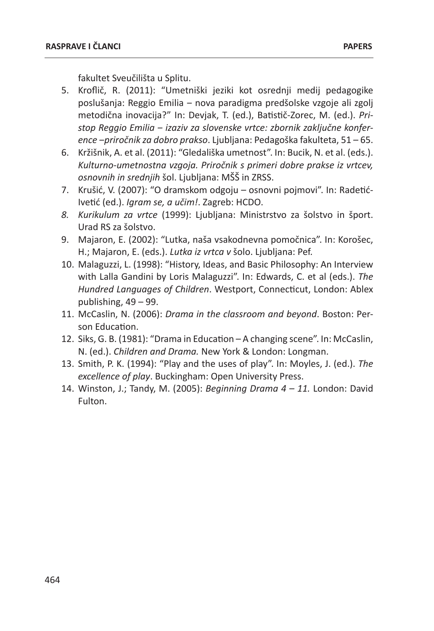fakultet Sveučilišta u Splitu.

- 5. Kroflič, R. (2011): "Umetniški jeziki kot osrednji medij pedagogike poslušanja: Reggio Emilia ‒ nova paradigma predšolske vzgoje ali zgolj metodična inovacija?" In: Devjak, T. (ed.), Batistič-Zorec, M. (ed.). *Pristop Reggio Emilia ‒ izaziv za slovenske vrtce: zbornik zaključne konference ‒priročnik za dobro prakso*. Ljubljana: Pedagoška fakulteta, 51 – 65.
- 6. Kržišnik, A. et al. (2011): "Gledališka umetnost". In: Bucik, N. et al. (eds.). *Kulturno-umetnostna vzgoja. Priročnik s primeri dobre prakse iz vrtcev, osnovnih in srednjih* šol. Ljubljana: MŠŠ in ZRSS.
- 7. Krušić, V. (2007): "O dramskom odgoju osnovni pojmovi". In: Radetić-Ivetić (ed.). *Igram se, a učim!*. Zagreb: HCDO.
- *8. Kurikulum za vrtce* (1999): Ljubljana: Ministrstvo za šolstvo in šport. Urad RS za šolstvo.
- 9. Majaron, E. (2002): "Lutka, naša vsakodnevna pomočnica". In: Korošec, H.; Majaron, E. (eds.). *Lutka iz vrtca v* šolo. Ljubljana: Pef.
- 10. Malaguzzi, L. (1998): "History, Ideas, and Basic Philosophy: An Interview with Lalla Gandini by Loris Malaguzzi". In: Edwards, C. et al (eds.). *The Hundred Languages of Children*. Westport, Connecticut, London: Ablex publishing, 49 – 99.
- 11. McCaslin, N. (2006): *Drama in the classroom and beyond*. Boston: Person Education.
- 12. Siks, G. B. (1981): "Drama in Education A changing scene". In: McCaslin, N. (ed.). *Children and Drama.* New York & London: Longman.
- 13. Smith, P. K. (1994): "Play and the uses of play". In: Moyles, J. (ed.). *The excellence of play*. Buckingham: Open University Press.
- 14. Winston, J.; Tandy, M. (2005): *Beginning Drama 4 11.* London: David Fulton.